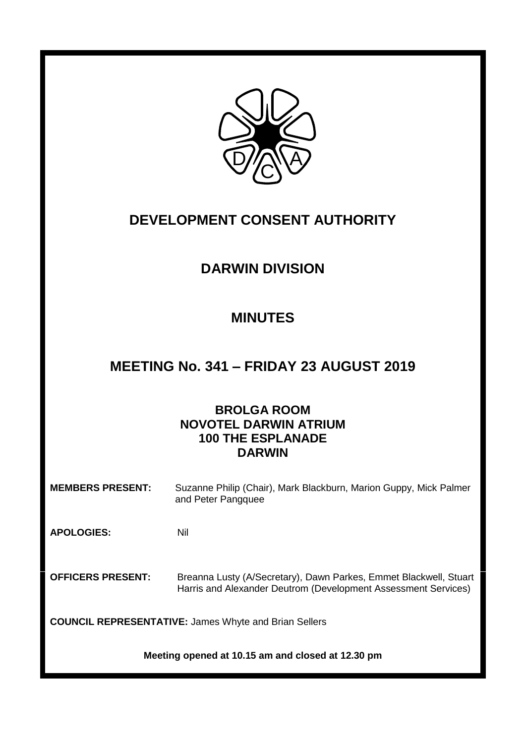

# **DEVELOPMENT CONSENT AUTHORITY**

# **DARWIN DIVISION**

## **MINUTES**

## **MEETING No. 341 – FRIDAY 23 AUGUST 2019**

## **BROLGA ROOM NOVOTEL DARWIN ATRIUM 100 THE ESPLANADE DARWIN**

**MEMBERS PRESENT:** Suzanne Philip (Chair), Mark Blackburn, Marion Guppy, Mick Palmer and Peter Pangquee

**APOLOGIES:** Nil

**OFFICERS PRESENT:** Breanna Lusty (A/Secretary), Dawn Parkes, Emmet Blackwell, Stuart Harris and Alexander Deutrom (Development Assessment Services)

**COUNCIL REPRESENTATIVE:** James Whyte and Brian Sellers

**Meeting opened at 10.15 am and closed at 12.30 pm**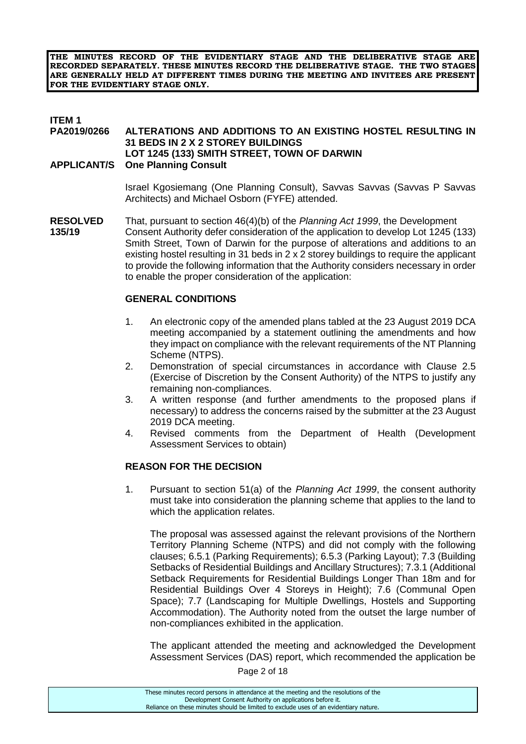**THE MINUTES RECORD OF THE EVIDENTIARY STAGE AND THE DELIBERATIVE STAGE ARE RECORDED SEPARATELY. THESE MINUTES RECORD THE DELIBERATIVE STAGE. THE TWO STAGES ARE GENERALLY HELD AT DIFFERENT TIMES DURING THE MEETING AND INVITEES ARE PRESENT FOR THE EVIDENTIARY STAGE ONLY.**

#### **ITEM 1 PA2019/0266 ALTERATIONS AND ADDITIONS TO AN EXISTING HOSTEL RESULTING IN 31 BEDS IN 2 X 2 STOREY BUILDINGS LOT 1245 (133) SMITH STREET, TOWN OF DARWIN APPLICANT/S One Planning Consult**

Israel Kgosiemang (One Planning Consult), Savvas Savvas (Savvas P Savvas Architects) and Michael Osborn (FYFE) attended.

**RESOLVED** That, pursuant to section 46(4)(b) of the *Planning Act 1999*, the Development **135/19** Consent Authority defer consideration of the application to develop Lot 1245 (133) Smith Street, Town of Darwin for the purpose of alterations and additions to an existing hostel resulting in 31 beds in  $2 \times 2$  storey buildings to require the applicant to provide the following information that the Authority considers necessary in order to enable the proper consideration of the application:

#### **GENERAL CONDITIONS**

- 1. An electronic copy of the amended plans tabled at the 23 August 2019 DCA meeting accompanied by a statement outlining the amendments and how they impact on compliance with the relevant requirements of the NT Planning Scheme (NTPS).
- 2. Demonstration of special circumstances in accordance with Clause 2.5 (Exercise of Discretion by the Consent Authority) of the NTPS to justify any remaining non-compliances.
- 3. A written response (and further amendments to the proposed plans if necessary) to address the concerns raised by the submitter at the 23 August 2019 DCA meeting.
- 4. Revised comments from the Department of Health (Development Assessment Services to obtain)

#### **REASON FOR THE DECISION**

1. Pursuant to section 51(a) of the *Planning Act 1999*, the consent authority must take into consideration the planning scheme that applies to the land to which the application relates.

The proposal was assessed against the relevant provisions of the Northern Territory Planning Scheme (NTPS) and did not comply with the following clauses; 6.5.1 (Parking Requirements); 6.5.3 (Parking Layout); 7.3 (Building Setbacks of Residential Buildings and Ancillary Structures); 7.3.1 (Additional Setback Requirements for Residential Buildings Longer Than 18m and for Residential Buildings Over 4 Storeys in Height); 7.6 (Communal Open Space); 7.7 (Landscaping for Multiple Dwellings, Hostels and Supporting Accommodation). The Authority noted from the outset the large number of non-compliances exhibited in the application.

The applicant attended the meeting and acknowledged the Development Assessment Services (DAS) report, which recommended the application be

Page 2 of 18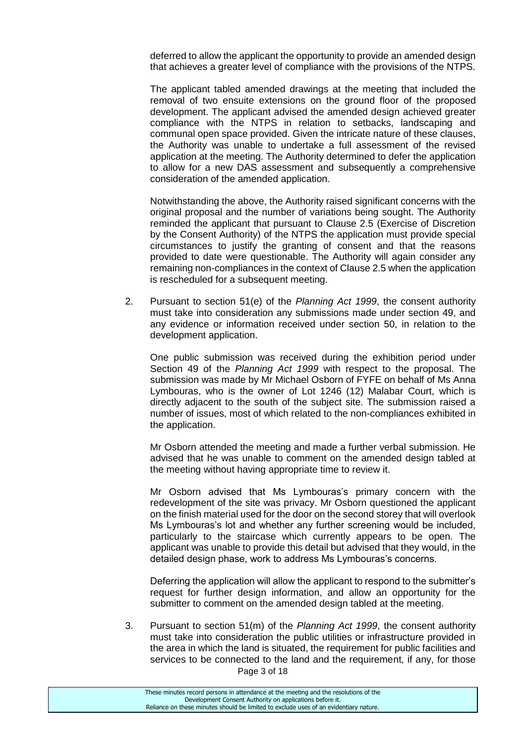deferred to allow the applicant the opportunity to provide an amended design that achieves a greater level of compliance with the provisions of the NTPS.

The applicant tabled amended drawings at the meeting that included the removal of two ensuite extensions on the ground floor of the proposed development. The applicant advised the amended design achieved greater compliance with the NTPS in relation to setbacks, landscaping and communal open space provided. Given the intricate nature of these clauses, the Authority was unable to undertake a full assessment of the revised application at the meeting. The Authority determined to defer the application to allow for a new DAS assessment and subsequently a comprehensive consideration of the amended application.

Notwithstanding the above, the Authority raised significant concerns with the original proposal and the number of variations being sought. The Authority reminded the applicant that pursuant to Clause 2.5 (Exercise of Discretion by the Consent Authority) of the NTPS the application must provide special circumstances to justify the granting of consent and that the reasons provided to date were questionable. The Authority will again consider any remaining non-compliances in the context of Clause 2.5 when the application is rescheduled for a subsequent meeting.

2. Pursuant to section 51(e) of the *Planning Act 1999*, the consent authority must take into consideration any submissions made under section 49, and any evidence or information received under section 50, in relation to the development application.

One public submission was received during the exhibition period under Section 49 of the *Planning Act 1999* with respect to the proposal. The submission was made by Mr Michael Osborn of FYFE on behalf of Ms Anna Lymbouras, who is the owner of Lot 1246 (12) Malabar Court, which is directly adjacent to the south of the subject site. The submission raised a number of issues, most of which related to the non-compliances exhibited in the application.

Mr Osborn attended the meeting and made a further verbal submission. He advised that he was unable to comment on the amended design tabled at the meeting without having appropriate time to review it.

Mr Osborn advised that Ms Lymbouras's primary concern with the redevelopment of the site was privacy. Mr Osborn questioned the applicant on the finish material used for the door on the second storey that will overlook Ms Lymbouras's lot and whether any further screening would be included, particularly to the staircase which currently appears to be open. The applicant was unable to provide this detail but advised that they would, in the detailed design phase, work to address Ms Lymbouras's concerns.

Deferring the application will allow the applicant to respond to the submitter's request for further design information, and allow an opportunity for the submitter to comment on the amended design tabled at the meeting.

Page 3 of 18 3. Pursuant to section 51(m) of the *Planning Act 1999*, the consent authority must take into consideration the public utilities or infrastructure provided in the area in which the land is situated, the requirement for public facilities and services to be connected to the land and the requirement, if any, for those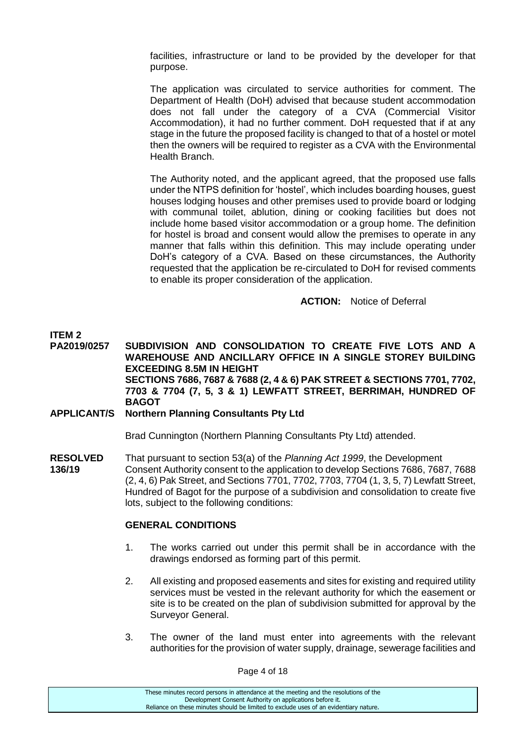facilities, infrastructure or land to be provided by the developer for that purpose.

The application was circulated to service authorities for comment. The Department of Health (DoH) advised that because student accommodation does not fall under the category of a CVA (Commercial Visitor Accommodation), it had no further comment. DoH requested that if at any stage in the future the proposed facility is changed to that of a hostel or motel then the owners will be required to register as a CVA with the Environmental Health Branch.

The Authority noted, and the applicant agreed, that the proposed use falls under the NTPS definition for 'hostel', which includes boarding houses, guest houses lodging houses and other premises used to provide board or lodging with communal toilet, ablution, dining or cooking facilities but does not include home based visitor accommodation or a group home. The definition for hostel is broad and consent would allow the premises to operate in any manner that falls within this definition. This may include operating under DoH's category of a CVA. Based on these circumstances, the Authority requested that the application be re-circulated to DoH for revised comments to enable its proper consideration of the application.

**ACTION:** Notice of Deferral

#### **ITEM 2**

**PA2019/0257 SUBDIVISION AND CONSOLIDATION TO CREATE FIVE LOTS AND A WAREHOUSE AND ANCILLARY OFFICE IN A SINGLE STOREY BUILDING EXCEEDING 8.5M IN HEIGHT SECTIONS 7686, 7687 & 7688 (2, 4 & 6) PAK STREET & SECTIONS 7701, 7702, 7703 & 7704 (7, 5, 3 & 1) LEWFATT STREET, BERRIMAH, HUNDRED OF BAGOT**

#### **APPLICANT/S Northern Planning Consultants Pty Ltd**

Brad Cunnington (Northern Planning Consultants Pty Ltd) attended.

**RESOLVED** That pursuant to section 53(a) of the *Planning Act 1999*, the Development **136/19** Consent Authority consent to the application to develop Sections 7686, 7687, 7688 (2, 4, 6) Pak Street, and Sections 7701, 7702, 7703, 7704 (1, 3, 5, 7) Lewfatt Street, Hundred of Bagot for the purpose of a subdivision and consolidation to create five lots, subject to the following conditions:

#### **GENERAL CONDITIONS**

- 1. The works carried out under this permit shall be in accordance with the drawings endorsed as forming part of this permit.
- 2. All existing and proposed easements and sites for existing and required utility services must be vested in the relevant authority for which the easement or site is to be created on the plan of subdivision submitted for approval by the Surveyor General.
- 3. The owner of the land must enter into agreements with the relevant authorities for the provision of water supply, drainage, sewerage facilities and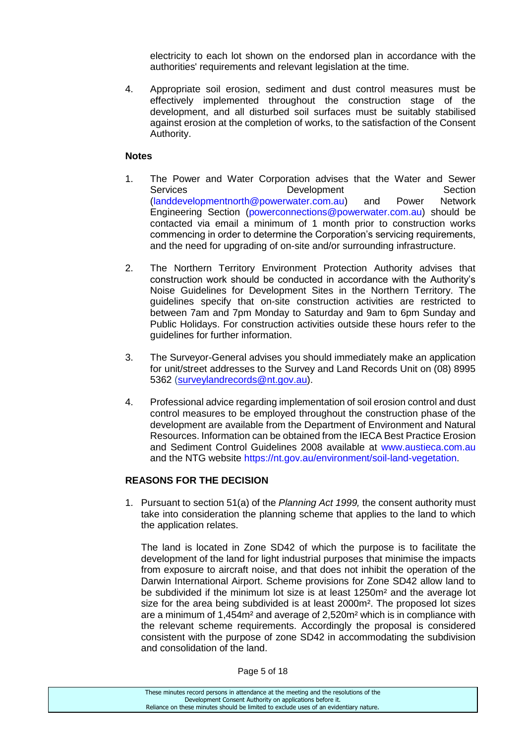electricity to each lot shown on the endorsed plan in accordance with the authorities' requirements and relevant legislation at the time.

4. Appropriate soil erosion, sediment and dust control measures must be effectively implemented throughout the construction stage of the development, and all disturbed soil surfaces must be suitably stabilised against erosion at the completion of works, to the satisfaction of the Consent Authority.

#### **Notes**

- 1. The Power and Water Corporation advises that the Water and Sewer Services **Development** Development Section (landdevelopmentnorth@powerwater.com.au) and Power Network Engineering Section (powerconnections@powerwater.com.au) should be contacted via email a minimum of 1 month prior to construction works commencing in order to determine the Corporation's servicing requirements, and the need for upgrading of on-site and/or surrounding infrastructure.
- 2. The Northern Territory Environment Protection Authority advises that construction work should be conducted in accordance with the Authority's Noise Guidelines for Development Sites in the Northern Territory. The guidelines specify that on-site construction activities are restricted to between 7am and 7pm Monday to Saturday and 9am to 6pm Sunday and Public Holidays. For construction activities outside these hours refer to the guidelines for further information.
- 3. The Surveyor-General advises you should immediately make an application for unit/street addresses to the Survey and Land Records Unit on (08) 8995 5362 [\(surveylandrecords@nt.gov.au\)](mailto:surveylandrecords@nt.gov.au).
- 4. Professional advice regarding implementation of soil erosion control and dust control measures to be employed throughout the construction phase of the development are available from the Department of Environment and Natural Resources. Information can be obtained from the IECA Best Practice Erosion and Sediment Control Guidelines 2008 available at www.austieca.com.au and the NTG website https://nt.gov.au/environment/soil-land-vegetation.

#### **REASONS FOR THE DECISION**

1. Pursuant to section 51(a) of the *Planning Act 1999,* the consent authority must take into consideration the planning scheme that applies to the land to which the application relates.

The land is located in Zone SD42 of which the purpose is to facilitate the development of the land for light industrial purposes that minimise the impacts from exposure to aircraft noise, and that does not inhibit the operation of the Darwin International Airport. Scheme provisions for Zone SD42 allow land to be subdivided if the minimum lot size is at least 1250m² and the average lot size for the area being subdivided is at least 2000m². The proposed lot sizes are a minimum of 1,454m² and average of 2,520m² which is in compliance with the relevant scheme requirements. Accordingly the proposal is considered consistent with the purpose of zone SD42 in accommodating the subdivision and consolidation of the land.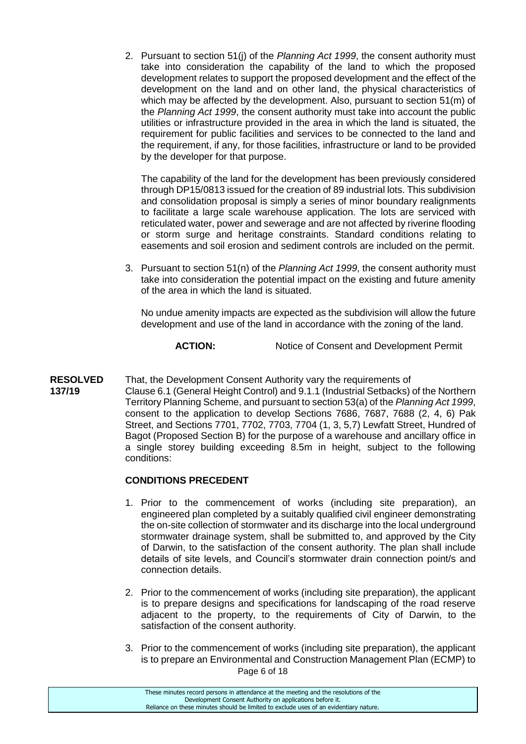2. Pursuant to section 51(j) of the *Planning Act 1999*, the consent authority must take into consideration the capability of the land to which the proposed development relates to support the proposed development and the effect of the development on the land and on other land, the physical characteristics of which may be affected by the development. Also, pursuant to section 51(m) of the *Planning Act 1999*, the consent authority must take into account the public utilities or infrastructure provided in the area in which the land is situated, the requirement for public facilities and services to be connected to the land and the requirement, if any, for those facilities, infrastructure or land to be provided by the developer for that purpose.

The capability of the land for the development has been previously considered through DP15/0813 issued for the creation of 89 industrial lots. This subdivision and consolidation proposal is simply a series of minor boundary realignments to facilitate a large scale warehouse application. The lots are serviced with reticulated water, power and sewerage and are not affected by riverine flooding or storm surge and heritage constraints. Standard conditions relating to easements and soil erosion and sediment controls are included on the permit.

3. Pursuant to section 51(n) of the *Planning Act 1999*, the consent authority must take into consideration the potential impact on the existing and future amenity of the area in which the land is situated.

No undue amenity impacts are expected as the subdivision will allow the future development and use of the land in accordance with the zoning of the land.

### ACTION: Notice of Consent and Development Permit

**RESOLVED** That, the Development Consent Authority vary the requirements of **137/19** Clause 6.1 (General Height Control) and 9.1.1 (Industrial Setbacks) of the Northern Territory Planning Scheme, and pursuant to section 53(a) of the *Planning Act 1999*, consent to the application to develop Sections 7686, 7687, 7688 (2, 4, 6) Pak Street, and Sections 7701, 7702, 7703, 7704 (1, 3, 5,7) Lewfatt Street, Hundred of Bagot (Proposed Section B) for the purpose of a warehouse and ancillary office in a single storey building exceeding 8.5m in height, subject to the following conditions:

#### **CONDITIONS PRECEDENT**

- 1. Prior to the commencement of works (including site preparation), an engineered plan completed by a suitably qualified civil engineer demonstrating the on-site collection of stormwater and its discharge into the local underground stormwater drainage system, shall be submitted to, and approved by the City of Darwin, to the satisfaction of the consent authority. The plan shall include details of site levels, and Council's stormwater drain connection point/s and connection details.
- 2. Prior to the commencement of works (including site preparation), the applicant is to prepare designs and specifications for landscaping of the road reserve adjacent to the property, to the requirements of City of Darwin, to the satisfaction of the consent authority.
- Page 6 of 18 3. Prior to the commencement of works (including site preparation), the applicant is to prepare an Environmental and Construction Management Plan (ECMP) to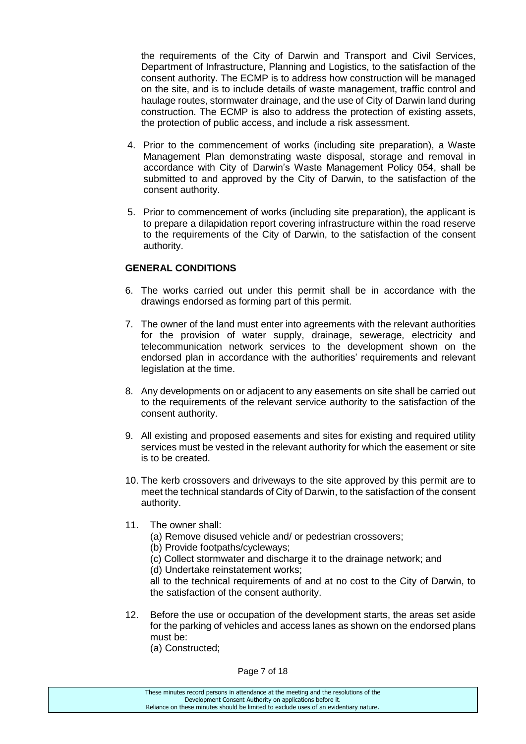the requirements of the City of Darwin and Transport and Civil Services, Department of Infrastructure, Planning and Logistics, to the satisfaction of the consent authority. The ECMP is to address how construction will be managed on the site, and is to include details of waste management, traffic control and haulage routes, stormwater drainage, and the use of City of Darwin land during construction. The ECMP is also to address the protection of existing assets, the protection of public access, and include a risk assessment.

- 4. Prior to the commencement of works (including site preparation), a Waste Management Plan demonstrating waste disposal, storage and removal in accordance with City of Darwin's Waste Management Policy 054, shall be submitted to and approved by the City of Darwin, to the satisfaction of the consent authority.
- 5. Prior to commencement of works (including site preparation), the applicant is to prepare a dilapidation report covering infrastructure within the road reserve to the requirements of the City of Darwin, to the satisfaction of the consent authority.

#### **GENERAL CONDITIONS**

- 6. The works carried out under this permit shall be in accordance with the drawings endorsed as forming part of this permit.
- 7. The owner of the land must enter into agreements with the relevant authorities for the provision of water supply, drainage, sewerage, electricity and telecommunication network services to the development shown on the endorsed plan in accordance with the authorities' requirements and relevant legislation at the time.
- 8. Any developments on or adjacent to any easements on site shall be carried out to the requirements of the relevant service authority to the satisfaction of the consent authority.
- 9. All existing and proposed easements and sites for existing and required utility services must be vested in the relevant authority for which the easement or site is to be created.
- 10. The kerb crossovers and driveways to the site approved by this permit are to meet the technical standards of City of Darwin, to the satisfaction of the consent authority.
- 11. The owner shall:
	- (a) Remove disused vehicle and/ or pedestrian crossovers;
	- (b) Provide footpaths/cycleways;
	- (c) Collect stormwater and discharge it to the drainage network; and
	- (d) Undertake reinstatement works;

all to the technical requirements of and at no cost to the City of Darwin, to the satisfaction of the consent authority.

12. Before the use or occupation of the development starts, the areas set aside for the parking of vehicles and access lanes as shown on the endorsed plans must be:

(a) Constructed;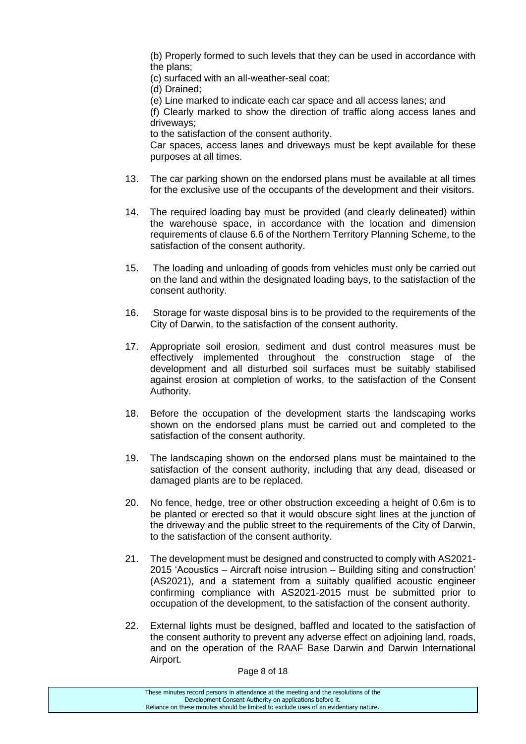(b) Properly formed to such levels that they can be used in accordance with the plans;

(c) surfaced with an all-weather-seal coat;

(d) Drained;

(e) Line marked to indicate each car space and all access lanes; and

(f) Clearly marked to show the direction of traffic along access lanes and driveways;

to the satisfaction of the consent authority.

Car spaces, access lanes and driveways must be kept available for these purposes at all times.

- 13. The car parking shown on the endorsed plans must be available at all times for the exclusive use of the occupants of the development and their visitors.
- 14. The required loading bay must be provided (and clearly delineated) within the warehouse space, in accordance with the location and dimension requirements of clause 6.6 of the Northern Territory Planning Scheme, to the satisfaction of the consent authority.
- 15. The loading and unloading of goods from vehicles must only be carried out on the land and within the designated loading bays, to the satisfaction of the consent authority.
- 16. Storage for waste disposal bins is to be provided to the requirements of the City of Darwin, to the satisfaction of the consent authority.
- 17. Appropriate soil erosion, sediment and dust control measures must be effectively implemented throughout the construction stage of the development and all disturbed soil surfaces must be suitably stabilised against erosion at completion of works, to the satisfaction of the Consent Authority.
- 18. Before the occupation of the development starts the landscaping works shown on the endorsed plans must be carried out and completed to the satisfaction of the consent authority.
- 19. The landscaping shown on the endorsed plans must be maintained to the satisfaction of the consent authority, including that any dead, diseased or damaged plants are to be replaced.
- 20. No fence, hedge, tree or other obstruction exceeding a height of 0.6m is to be planted or erected so that it would obscure sight lines at the junction of the driveway and the public street to the requirements of the City of Darwin, to the satisfaction of the consent authority.
- 21. The development must be designed and constructed to comply with AS2021- 2015 'Acoustics – Aircraft noise intrusion – Building siting and construction' (AS2021), and a statement from a suitably qualified acoustic engineer confirming compliance with AS2021-2015 must be submitted prior to occupation of the development, to the satisfaction of the consent authority.
- 22. External lights must be designed, baffled and located to the satisfaction of the consent authority to prevent any adverse effect on adjoining land, roads, and on the operation of the RAAF Base Darwin and Darwin International Airport.

Page 8 of 18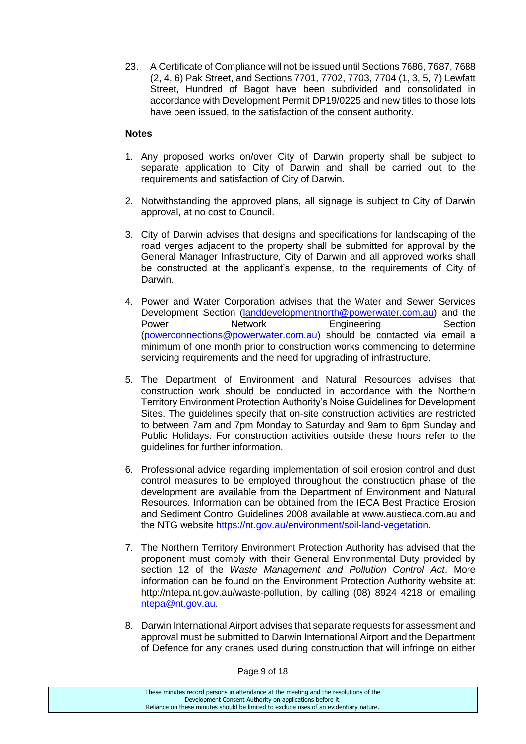23. A Certificate of Compliance will not be issued until Sections 7686, 7687, 7688 (2, 4, 6) Pak Street, and Sections 7701, 7702, 7703, 7704 (1, 3, 5, 7) Lewfatt Street, Hundred of Bagot have been subdivided and consolidated in accordance with Development Permit DP19/0225 and new titles to those lots have been issued, to the satisfaction of the consent authority.

#### **Notes**

- 1. Any proposed works on/over City of Darwin property shall be subject to separate application to City of Darwin and shall be carried out to the requirements and satisfaction of City of Darwin.
- 2. Notwithstanding the approved plans, all signage is subject to City of Darwin approval, at no cost to Council.
- 3. City of Darwin advises that designs and specifications for landscaping of the road verges adjacent to the property shall be submitted for approval by the General Manager Infrastructure, City of Darwin and all approved works shall be constructed at the applicant's expense, to the requirements of City of Darwin.
- 4. Power and Water Corporation advises that the Water and Sewer Services Development Section [\(landdevelopmentnorth@powerwater.com.au\)](mailto:landdevelopmentnorth@powerwater.com.au) and the Power **Network** Engineering Section [\(powerconnections@powerwater.com.au\)](mailto:powerconnections@powerwater.com.au) should be contacted via email a minimum of one month prior to construction works commencing to determine servicing requirements and the need for upgrading of infrastructure.
- 5. The Department of Environment and Natural Resources advises that construction work should be conducted in accordance with the Northern Territory Environment Protection Authority's Noise Guidelines for Development Sites. The guidelines specify that on-site construction activities are restricted to between 7am and 7pm Monday to Saturday and 9am to 6pm Sunday and Public Holidays. For construction activities outside these hours refer to the guidelines for further information.
- 6. Professional advice regarding implementation of soil erosion control and dust control measures to be employed throughout the construction phase of the development are available from the Department of Environment and Natural Resources. Information can be obtained from the IECA Best Practice Erosion and Sediment Control Guidelines 2008 available at www.austieca.com.au and the NTG website https://nt.gov.au/environment/soil-land-vegetation.
- 7. The Northern Territory Environment Protection Authority has advised that the proponent must comply with their General Environmental Duty provided by section 12 of the *Waste Management and Pollution Control Act*. More information can be found on the Environment Protection Authority website at: http://ntepa.nt.gov.au/waste-pollution, by calling (08) 8924 4218 or emailing ntepa@nt.gov.au.
- 8. Darwin International Airport advises that separate requests for assessment and approval must be submitted to Darwin International Airport and the Department of Defence for any cranes used during construction that will infringe on either

Page 9 of 18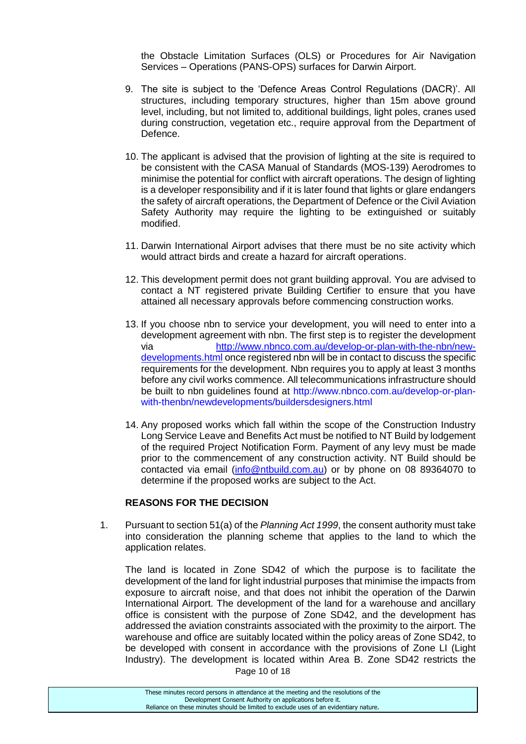the Obstacle Limitation Surfaces (OLS) or Procedures for Air Navigation Services – Operations (PANS-OPS) surfaces for Darwin Airport.

- 9. The site is subject to the 'Defence Areas Control Regulations (DACR)'. All structures, including temporary structures, higher than 15m above ground level, including, but not limited to, additional buildings, light poles, cranes used during construction, vegetation etc., require approval from the Department of Defence.
- 10. The applicant is advised that the provision of lighting at the site is required to be consistent with the CASA Manual of Standards (MOS-139) Aerodromes to minimise the potential for conflict with aircraft operations. The design of lighting is a developer responsibility and if it is later found that lights or glare endangers the safety of aircraft operations, the Department of Defence or the Civil Aviation Safety Authority may require the lighting to be extinguished or suitably modified.
- 11. Darwin International Airport advises that there must be no site activity which would attract birds and create a hazard for aircraft operations.
- 12. This development permit does not grant building approval. You are advised to contact a NT registered private Building Certifier to ensure that you have attained all necessary approvals before commencing construction works.
- 13. If you choose nbn to service your development, you will need to enter into a development agreement with nbn. The first step is to register the development via [http://www.nbnco.com.au/develop-or-plan-with-the-nbn/new](http://www.nbnco.com.au/develop-or-plan-with-the-nbn/new-developments.html)[developments.html](http://www.nbnco.com.au/develop-or-plan-with-the-nbn/new-developments.html) once registered nbn will be in contact to discuss the specific requirements for the development. Nbn requires you to apply at least 3 months before any civil works commence. All telecommunications infrastructure should be built to nbn guidelines found at http://www.nbnco.com.au/develop-or-planwith-thenbn/newdevelopments/buildersdesigners.html
- 14. Any proposed works which fall within the scope of the Construction Industry Long Service Leave and Benefits Act must be notified to NT Build by lodgement of the required Project Notification Form. Payment of any levy must be made prior to the commencement of any construction activity. NT Build should be contacted via email [\(info@ntbuild.com.au\)](mailto:info@ntbuild.com.au) or by phone on 08 89364070 to determine if the proposed works are subject to the Act.

#### **REASONS FOR THE DECISION**

1. Pursuant to section 51(a) of the *Planning Act 1999*, the consent authority must take into consideration the planning scheme that applies to the land to which the application relates.

Page 10 of 18 The land is located in Zone SD42 of which the purpose is to facilitate the development of the land for light industrial purposes that minimise the impacts from exposure to aircraft noise, and that does not inhibit the operation of the Darwin International Airport. The development of the land for a warehouse and ancillary office is consistent with the purpose of Zone SD42, and the development has addressed the aviation constraints associated with the proximity to the airport. The warehouse and office are suitably located within the policy areas of Zone SD42, to be developed with consent in accordance with the provisions of Zone LI (Light Industry). The development is located within Area B. Zone SD42 restricts the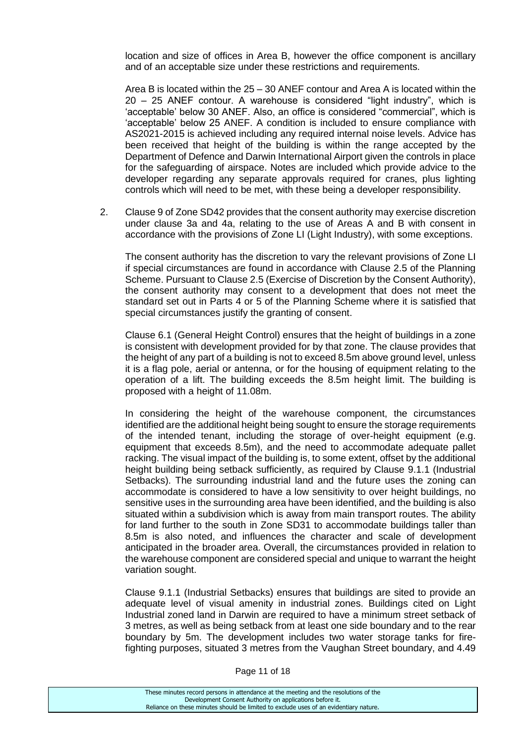location and size of offices in Area B, however the office component is ancillary and of an acceptable size under these restrictions and requirements.

Area B is located within the 25 – 30 ANEF contour and Area A is located within the 20 – 25 ANEF contour. A warehouse is considered "light industry", which is 'acceptable' below 30 ANEF. Also, an office is considered "commercial", which is 'acceptable' below 25 ANEF. A condition is included to ensure compliance with AS2021-2015 is achieved including any required internal noise levels. Advice has been received that height of the building is within the range accepted by the Department of Defence and Darwin International Airport given the controls in place for the safeguarding of airspace. Notes are included which provide advice to the developer regarding any separate approvals required for cranes, plus lighting controls which will need to be met, with these being a developer responsibility.

2. Clause 9 of Zone SD42 provides that the consent authority may exercise discretion under clause 3a and 4a, relating to the use of Areas A and B with consent in accordance with the provisions of Zone LI (Light Industry), with some exceptions.

The consent authority has the discretion to vary the relevant provisions of Zone LI if special circumstances are found in accordance with Clause 2.5 of the Planning Scheme. Pursuant to Clause 2.5 (Exercise of Discretion by the Consent Authority), the consent authority may consent to a development that does not meet the standard set out in Parts 4 or 5 of the Planning Scheme where it is satisfied that special circumstances justify the granting of consent.

Clause 6.1 (General Height Control) ensures that the height of buildings in a zone is consistent with development provided for by that zone. The clause provides that the height of any part of a building is not to exceed 8.5m above ground level, unless it is a flag pole, aerial or antenna, or for the housing of equipment relating to the operation of a lift. The building exceeds the 8.5m height limit. The building is proposed with a height of 11.08m.

In considering the height of the warehouse component, the circumstances identified are the additional height being sought to ensure the storage requirements of the intended tenant, including the storage of over-height equipment (e.g. equipment that exceeds 8.5m), and the need to accommodate adequate pallet racking. The visual impact of the building is, to some extent, offset by the additional height building being setback sufficiently, as required by Clause 9.1.1 (Industrial Setbacks). The surrounding industrial land and the future uses the zoning can accommodate is considered to have a low sensitivity to over height buildings, no sensitive uses in the surrounding area have been identified, and the building is also situated within a subdivision which is away from main transport routes. The ability for land further to the south in Zone SD31 to accommodate buildings taller than 8.5m is also noted, and influences the character and scale of development anticipated in the broader area. Overall, the circumstances provided in relation to the warehouse component are considered special and unique to warrant the height variation sought.

Clause 9.1.1 (Industrial Setbacks) ensures that buildings are sited to provide an adequate level of visual amenity in industrial zones. Buildings cited on Light Industrial zoned land in Darwin are required to have a minimum street setback of 3 metres, as well as being setback from at least one side boundary and to the rear boundary by 5m. The development includes two water storage tanks for firefighting purposes, situated 3 metres from the Vaughan Street boundary, and 4.49

| These minutes record persons in attendance at the meeting and the resolutions of the  |
|---------------------------------------------------------------------------------------|
| Development Consent Authority on applications before it.                              |
| Reliance on these minutes should be limited to exclude uses of an evidentiary nature. |
|                                                                                       |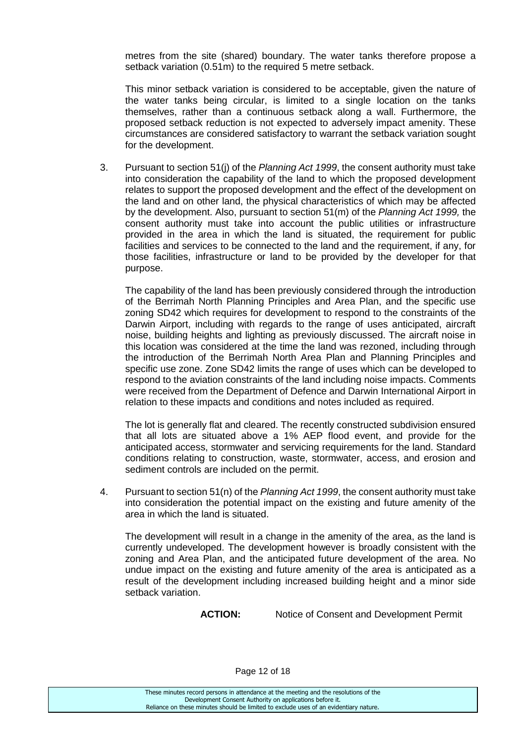metres from the site (shared) boundary. The water tanks therefore propose a setback variation (0.51m) to the required 5 metre setback.

This minor setback variation is considered to be acceptable, given the nature of the water tanks being circular, is limited to a single location on the tanks themselves, rather than a continuous setback along a wall. Furthermore, the proposed setback reduction is not expected to adversely impact amenity. These circumstances are considered satisfactory to warrant the setback variation sought for the development.

3. Pursuant to section 51(j) of the *Planning Act 1999*, the consent authority must take into consideration the capability of the land to which the proposed development relates to support the proposed development and the effect of the development on the land and on other land, the physical characteristics of which may be affected by the development. Also, pursuant to section 51(m) of the *Planning Act 1999,* the consent authority must take into account the public utilities or infrastructure provided in the area in which the land is situated, the requirement for public facilities and services to be connected to the land and the requirement, if any, for those facilities, infrastructure or land to be provided by the developer for that purpose.

The capability of the land has been previously considered through the introduction of the Berrimah North Planning Principles and Area Plan, and the specific use zoning SD42 which requires for development to respond to the constraints of the Darwin Airport, including with regards to the range of uses anticipated, aircraft noise, building heights and lighting as previously discussed. The aircraft noise in this location was considered at the time the land was rezoned, including through the introduction of the Berrimah North Area Plan and Planning Principles and specific use zone. Zone SD42 limits the range of uses which can be developed to respond to the aviation constraints of the land including noise impacts. Comments were received from the Department of Defence and Darwin International Airport in relation to these impacts and conditions and notes included as required.

The lot is generally flat and cleared. The recently constructed subdivision ensured that all lots are situated above a 1% AEP flood event, and provide for the anticipated access, stormwater and servicing requirements for the land. Standard conditions relating to construction, waste, stormwater, access, and erosion and sediment controls are included on the permit.

4. Pursuant to section 51(n) of the *Planning Act 1999*, the consent authority must take into consideration the potential impact on the existing and future amenity of the area in which the land is situated.

The development will result in a change in the amenity of the area, as the land is currently undeveloped. The development however is broadly consistent with the zoning and Area Plan, and the anticipated future development of the area. No undue impact on the existing and future amenity of the area is anticipated as a result of the development including increased building height and a minor side setback variation.

**ACTION:** Notice of Consent and Development Permit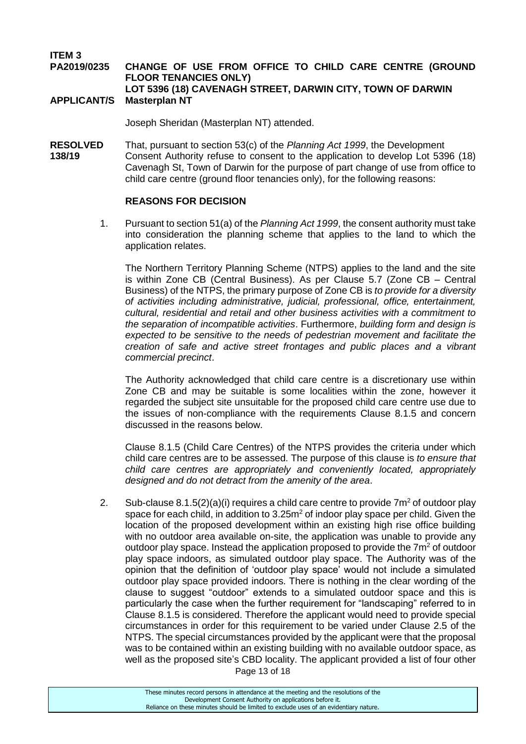**ITEM 3**

#### **PA2019/0235 CHANGE OF USE FROM OFFICE TO CHILD CARE CENTRE (GROUND FLOOR TENANCIES ONLY) LOT 5396 (18) CAVENAGH STREET, DARWIN CITY, TOWN OF DARWIN APPLICANT/S Masterplan NT**

Joseph Sheridan (Masterplan NT) attended.

**RESOLVED** That, pursuant to section 53(c) of the *Planning Act 1999*, the Development **138/19** Consent Authority refuse to consent to the application to develop Lot 5396 (18) Cavenagh St, Town of Darwin for the purpose of part change of use from office to child care centre (ground floor tenancies only), for the following reasons:

#### **REASONS FOR DECISION**

1. Pursuant to section 51(a) of the *Planning Act 1999*, the consent authority must take into consideration the planning scheme that applies to the land to which the application relates.

The Northern Territory Planning Scheme (NTPS) applies to the land and the site is within Zone CB (Central Business). As per Clause 5.7 (Zone CB – Central Business) of the NTPS, the primary purpose of Zone CB is *to provide for a diversity of activities including administrative, judicial, professional, office, entertainment, cultural, residential and retail and other business activities with a commitment to the separation of incompatible activities*. Furthermore, *building form and design is expected to be sensitive to the needs of pedestrian movement and facilitate the creation of safe and active street frontages and public places and a vibrant commercial precinct*.

The Authority acknowledged that child care centre is a discretionary use within Zone CB and may be suitable is some localities within the zone, however it regarded the subject site unsuitable for the proposed child care centre use due to the issues of non-compliance with the requirements Clause 8.1.5 and concern discussed in the reasons below.

Clause 8.1.5 (Child Care Centres) of the NTPS provides the criteria under which child care centres are to be assessed. The purpose of this clause is *to ensure that child care centres are appropriately and conveniently located, appropriately designed and do not detract from the amenity of the area*.

2. Sub-clause 8.1.5(2)(a)(i) requires a child care centre to provide  $7m^2$  of outdoor play space for each child, in addition to 3.25m<sup>2</sup> of indoor play space per child. Given the location of the proposed development within an existing high rise office building with no outdoor area available on-site, the application was unable to provide any outdoor play space. Instead the application proposed to provide the  $7m<sup>2</sup>$  of outdoor play space indoors, as simulated outdoor play space. The Authority was of the opinion that the definition of 'outdoor play space' would not include a simulated outdoor play space provided indoors. There is nothing in the clear wording of the clause to suggest "outdoor" extends to a simulated outdoor space and this is particularly the case when the further requirement for "landscaping" referred to in Clause 8.1.5 is considered. Therefore the applicant would need to provide special circumstances in order for this requirement to be varied under Clause 2.5 of the NTPS. The special circumstances provided by the applicant were that the proposal was to be contained within an existing building with no available outdoor space, as well as the proposed site's CBD locality. The applicant provided a list of four other

Page 13 of 18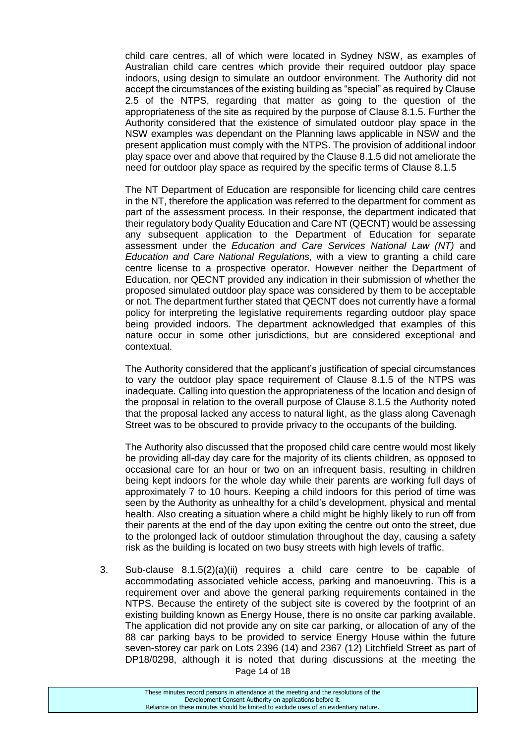child care centres, all of which were located in Sydney NSW, as examples of Australian child care centres which provide their required outdoor play space indoors, using design to simulate an outdoor environment. The Authority did not accept the circumstances of the existing building as "special" as required by Clause 2.5 of the NTPS, regarding that matter as going to the question of the appropriateness of the site as required by the purpose of Clause 8.1.5. Further the Authority considered that the existence of simulated outdoor play space in the NSW examples was dependant on the Planning laws applicable in NSW and the present application must comply with the NTPS. The provision of additional indoor play space over and above that required by the Clause 8.1.5 did not ameliorate the need for outdoor play space as required by the specific terms of Clause 8.1.5

The NT Department of Education are responsible for licencing child care centres in the NT, therefore the application was referred to the department for comment as part of the assessment process. In their response, the department indicated that their regulatory body Quality Education and Care NT (QECNT) would be assessing any subsequent application to the Department of Education for separate assessment under the *Education and Care Services National Law (NT)* and *Education and Care National Regulations,* with a view to granting a child care centre license to a prospective operator. However neither the Department of Education, nor QECNT provided any indication in their submission of whether the proposed simulated outdoor play space was considered by them to be acceptable or not. The department further stated that QECNT does not currently have a formal policy for interpreting the legislative requirements regarding outdoor play space being provided indoors. The department acknowledged that examples of this nature occur in some other jurisdictions, but are considered exceptional and contextual.

The Authority considered that the applicant's justification of special circumstances to vary the outdoor play space requirement of Clause 8.1.5 of the NTPS was inadequate. Calling into question the appropriateness of the location and design of the proposal in relation to the overall purpose of Clause 8.1.5 the Authority noted that the proposal lacked any access to natural light, as the glass along Cavenagh Street was to be obscured to provide privacy to the occupants of the building.

The Authority also discussed that the proposed child care centre would most likely be providing all-day day care for the majority of its clients children, as opposed to occasional care for an hour or two on an infrequent basis, resulting in children being kept indoors for the whole day while their parents are working full days of approximately 7 to 10 hours. Keeping a child indoors for this period of time was seen by the Authority as unhealthy for a child's development, physical and mental health. Also creating a situation where a child might be highly likely to run off from their parents at the end of the day upon exiting the centre out onto the street, due to the prolonged lack of outdoor stimulation throughout the day, causing a safety risk as the building is located on two busy streets with high levels of traffic.

Page 14 of 18 3. Sub-clause 8.1.5(2)(a)(ii) requires a child care centre to be capable of accommodating associated vehicle access, parking and manoeuvring. This is a requirement over and above the general parking requirements contained in the NTPS. Because the entirety of the subject site is covered by the footprint of an existing building known as Energy House, there is no onsite car parking available. The application did not provide any on site car parking, or allocation of any of the 88 car parking bays to be provided to service Energy House within the future seven-storey car park on Lots 2396 (14) and 2367 (12) Litchfield Street as part of DP18/0298, although it is noted that during discussions at the meeting the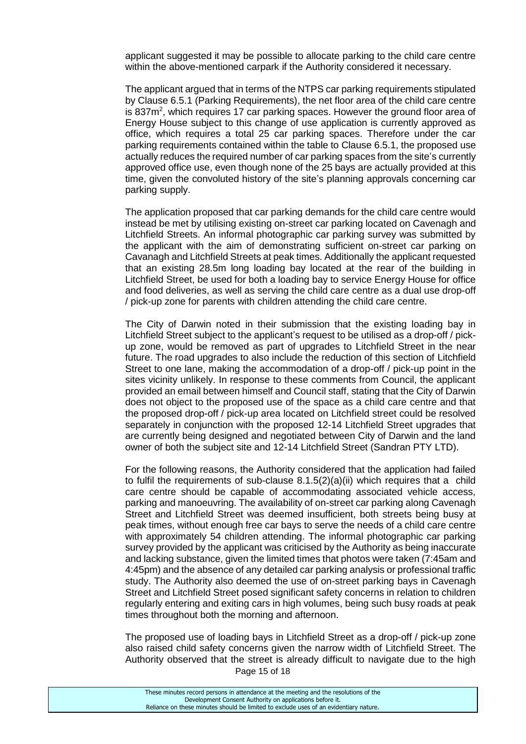applicant suggested it may be possible to allocate parking to the child care centre within the above-mentioned carpark if the Authority considered it necessary.

The applicant argued that in terms of the NTPS car parking requirements stipulated by Clause 6.5.1 (Parking Requirements), the net floor area of the child care centre is 837m<sup>2</sup>, which requires 17 car parking spaces. However the ground floor area of Energy House subject to this change of use application is currently approved as office, which requires a total 25 car parking spaces. Therefore under the car parking requirements contained within the table to Clause 6.5.1, the proposed use actually reduces the required number of car parking spaces from the site's currently approved office use, even though none of the 25 bays are actually provided at this time, given the convoluted history of the site's planning approvals concerning car parking supply.

The application proposed that car parking demands for the child care centre would instead be met by utilising existing on-street car parking located on Cavenagh and Litchfield Streets. An informal photographic car parking survey was submitted by the applicant with the aim of demonstrating sufficient on-street car parking on Cavanagh and Litchfield Streets at peak times. Additionally the applicant requested that an existing 28.5m long loading bay located at the rear of the building in Litchfield Street, be used for both a loading bay to service Energy House for office and food deliveries, as well as serving the child care centre as a dual use drop-off / pick-up zone for parents with children attending the child care centre.

The City of Darwin noted in their submission that the existing loading bay in Litchfield Street subject to the applicant's request to be utilised as a drop-off / pickup zone, would be removed as part of upgrades to Litchfield Street in the near future. The road upgrades to also include the reduction of this section of Litchfield Street to one lane, making the accommodation of a drop-off / pick-up point in the sites vicinity unlikely. In response to these comments from Council, the applicant provided an email between himself and Council staff, stating that the City of Darwin does not object to the proposed use of the space as a child care centre and that the proposed drop-off / pick-up area located on Litchfield street could be resolved separately in conjunction with the proposed 12-14 Litchfield Street upgrades that are currently being designed and negotiated between City of Darwin and the land owner of both the subject site and 12-14 Litchfield Street (Sandran PTY LTD).

For the following reasons, the Authority considered that the application had failed to fulfil the requirements of sub-clause  $8.1.5(2)(a)(ii)$  which requires that a child care centre should be capable of accommodating associated vehicle access, parking and manoeuvring. The availability of on-street car parking along Cavenagh Street and Litchfield Street was deemed insufficient, both streets being busy at peak times, without enough free car bays to serve the needs of a child care centre with approximately 54 children attending. The informal photographic car parking survey provided by the applicant was criticised by the Authority as being inaccurate and lacking substance, given the limited times that photos were taken (7:45am and 4:45pm) and the absence of any detailed car parking analysis or professional traffic study. The Authority also deemed the use of on-street parking bays in Cavenagh Street and Litchfield Street posed significant safety concerns in relation to children regularly entering and exiting cars in high volumes, being such busy roads at peak times throughout both the morning and afternoon.

Page 15 of 18 The proposed use of loading bays in Litchfield Street as a drop-off / pick-up zone also raised child safety concerns given the narrow width of Litchfield Street. The Authority observed that the street is already difficult to navigate due to the high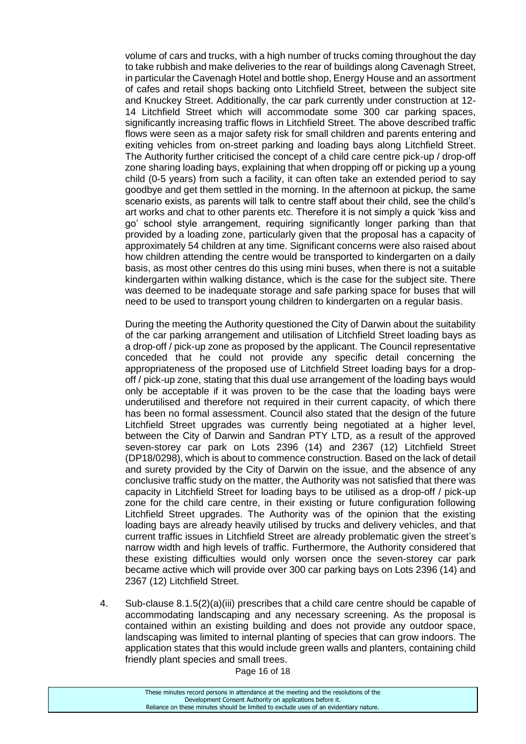volume of cars and trucks, with a high number of trucks coming throughout the day to take rubbish and make deliveries to the rear of buildings along Cavenagh Street, in particular the Cavenagh Hotel and bottle shop, Energy House and an assortment of cafes and retail shops backing onto Litchfield Street, between the subject site and Knuckey Street. Additionally, the car park currently under construction at 12- 14 Litchfield Street which will accommodate some 300 car parking spaces, significantly increasing traffic flows in Litchfield Street. The above described traffic flows were seen as a major safety risk for small children and parents entering and exiting vehicles from on-street parking and loading bays along Litchfield Street. The Authority further criticised the concept of a child care centre pick-up / drop-off zone sharing loading bays, explaining that when dropping off or picking up a young child (0-5 years) from such a facility, it can often take an extended period to say goodbye and get them settled in the morning. In the afternoon at pickup, the same scenario exists, as parents will talk to centre staff about their child, see the child's art works and chat to other parents etc. Therefore it is not simply a quick 'kiss and go' school style arrangement, requiring significantly longer parking than that provided by a loading zone, particularly given that the proposal has a capacity of approximately 54 children at any time. Significant concerns were also raised about how children attending the centre would be transported to kindergarten on a daily basis, as most other centres do this using mini buses, when there is not a suitable kindergarten within walking distance, which is the case for the subject site. There was deemed to be inadequate storage and safe parking space for buses that will need to be used to transport young children to kindergarten on a regular basis.

During the meeting the Authority questioned the City of Darwin about the suitability of the car parking arrangement and utilisation of Litchfield Street loading bays as a drop-off / pick-up zone as proposed by the applicant. The Council representative conceded that he could not provide any specific detail concerning the appropriateness of the proposed use of Litchfield Street loading bays for a dropoff / pick-up zone, stating that this dual use arrangement of the loading bays would only be acceptable if it was proven to be the case that the loading bays were underutilised and therefore not required in their current capacity, of which there has been no formal assessment. Council also stated that the design of the future Litchfield Street upgrades was currently being negotiated at a higher level, between the City of Darwin and Sandran PTY LTD, as a result of the approved seven-storey car park on Lots 2396 (14) and 2367 (12) Litchfield Street (DP18/0298), which is about to commence construction. Based on the lack of detail and surety provided by the City of Darwin on the issue, and the absence of any conclusive traffic study on the matter, the Authority was not satisfied that there was capacity in Litchfield Street for loading bays to be utilised as a drop-off / pick-up zone for the child care centre, in their existing or future configuration following Litchfield Street upgrades. The Authority was of the opinion that the existing loading bays are already heavily utilised by trucks and delivery vehicles, and that current traffic issues in Litchfield Street are already problematic given the street's narrow width and high levels of traffic. Furthermore, the Authority considered that these existing difficulties would only worsen once the seven-storey car park became active which will provide over 300 car parking bays on Lots 2396 (14) and 2367 (12) Litchfield Street.

4. Sub-clause 8.1.5(2)(a)(iii) prescribes that a child care centre should be capable of accommodating landscaping and any necessary screening. As the proposal is contained within an existing building and does not provide any outdoor space, landscaping was limited to internal planting of species that can grow indoors. The application states that this would include green walls and planters, containing child friendly plant species and small trees.

Page 16 of 18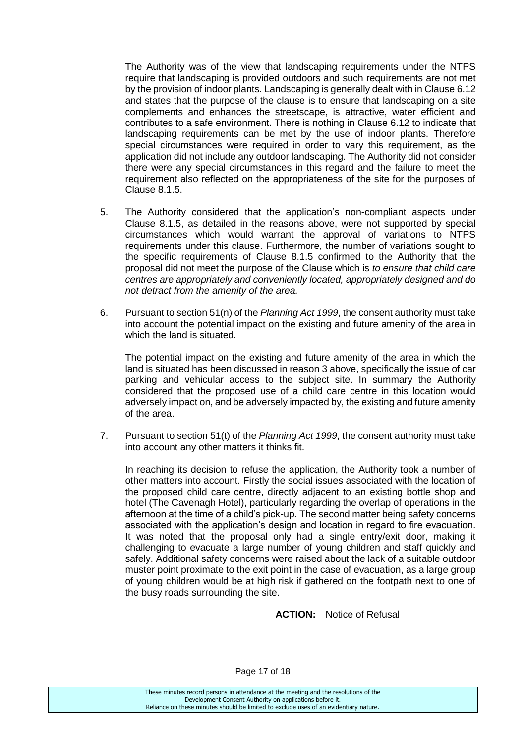The Authority was of the view that landscaping requirements under the NTPS require that landscaping is provided outdoors and such requirements are not met by the provision of indoor plants. Landscaping is generally dealt with in Clause 6.12 and states that the purpose of the clause is to ensure that landscaping on a site complements and enhances the streetscape, is attractive, water efficient and contributes to a safe environment. There is nothing in Clause 6.12 to indicate that landscaping requirements can be met by the use of indoor plants. Therefore special circumstances were required in order to vary this requirement, as the application did not include any outdoor landscaping. The Authority did not consider there were any special circumstances in this regard and the failure to meet the requirement also reflected on the appropriateness of the site for the purposes of Clause 8.1.5.

- 5. The Authority considered that the application's non-compliant aspects under Clause 8.1.5, as detailed in the reasons above, were not supported by special circumstances which would warrant the approval of variations to NTPS requirements under this clause. Furthermore, the number of variations sought to the specific requirements of Clause 8.1.5 confirmed to the Authority that the proposal did not meet the purpose of the Clause which is *to ensure that child care centres are appropriately and conveniently located, appropriately designed and do not detract from the amenity of the area.*
- 6. Pursuant to section 51(n) of the *Planning Act 1999*, the consent authority must take into account the potential impact on the existing and future amenity of the area in which the land is situated.

The potential impact on the existing and future amenity of the area in which the land is situated has been discussed in reason 3 above, specifically the issue of car parking and vehicular access to the subject site. In summary the Authority considered that the proposed use of a child care centre in this location would adversely impact on, and be adversely impacted by, the existing and future amenity of the area.

7. Pursuant to section 51(t) of the *Planning Act 1999*, the consent authority must take into account any other matters it thinks fit.

In reaching its decision to refuse the application, the Authority took a number of other matters into account. Firstly the social issues associated with the location of the proposed child care centre, directly adjacent to an existing bottle shop and hotel (The Cavenagh Hotel), particularly regarding the overlap of operations in the afternoon at the time of a child's pick-up. The second matter being safety concerns associated with the application's design and location in regard to fire evacuation. It was noted that the proposal only had a single entry/exit door, making it challenging to evacuate a large number of young children and staff quickly and safely. Additional safety concerns were raised about the lack of a suitable outdoor muster point proximate to the exit point in the case of evacuation, as a large group of young children would be at high risk if gathered on the footpath next to one of the busy roads surrounding the site.

#### **ACTION:** Notice of Refusal